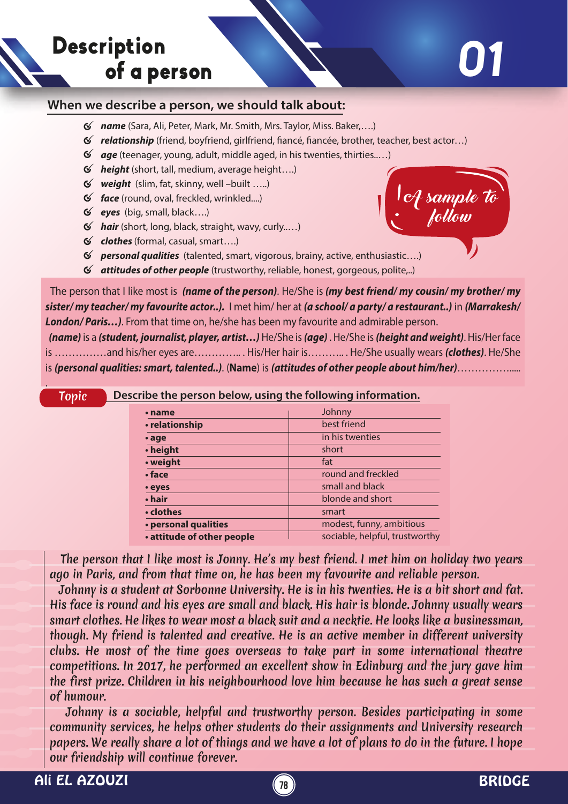

A sample to

follow

## **When we describe a person, we should talk about:**

- *name* (Sara, Ali, Peter, Mark, Mr. Smith, Mrs. Taylor, Miss. Baker,….)
- *√* relationship (friend, boyfriend, girlfriend, fiancé, fiancée, brother, teacher, best actor...)
- *age* (teenager, young, adult, middle aged, in his twenties, thirties..…)
- *height* (short, tall, medium, average height….)
- *weight* (slim, fat, skinny, well –built …..)
- *face* (round, oval, freckled, wrinkled....)
- *eyes* (big, small, black….)
- *hair* (short, long, black, straight, wavy, curly..…)
- *clothes* (formal, casual, smart….)
- *personal qualities* (talented, smart, vigorous, brainy, active, enthusiastic….)
- *attitudes of other people* (trustworthy, reliable, honest, gorgeous, polite,..)

 The person that I like most is *(name of the person)*. He/She is *(my best friend/ my cousin/ my brother/ my sister/ my teacher/ my favourite actor..).* I met him/ her at *(a school/ a party/ a restaurant..)* in *(Marrakesh/ London/ Paris…)*. From that time on, he/she has been my favourite and admirable person.

 *(name)* is a *(student, journalist, player, artist…)* He/She is *(age)* . He/She is *(height and weight)*. His/Her face is ……………and his/her eyes are………….. . His/Her hair is……….. . He/She usually wears *(clothes)*. He/She is *(personal qualities: smart, talented..)*. (**Name**) is *(attitudes of other people about him/her)*…………….....

## Topic **Describe the person below, using the following information.**

| • name                     | Johnny                         |
|----------------------------|--------------------------------|
| • relationship             | best friend                    |
| $\cdot$ age                | in his twenties                |
| • height                   | short                          |
| • weight                   | fat                            |
| $\cdot$ face               | round and freckled             |
| • eyes                     | small and black                |
| • hair                     | blonde and short               |
| • clothes                  | smart                          |
| · personal qualities       | modest, funny, ambitious       |
| • attitude of other people | sociable, helpful, trustworthy |

 The person that I like most is Jonny. He's my best friend. I met him on holiday two years ago in Paris, and from that time on, he has been my favourite and reliable person.

 Johnny is a student at Sorbonne University. He is in his twenties. He is a bit short and fat. His face is round and his eyes are small and black. His hair is blonde. Johnny usually wears smart clothes. He likes to wear most a black suit and a necktie. He looks like a businessman, though. My friend is talented and creative. He is an active member in different university clubs. He most of the time goes overseas to take part in some international theatre competitions. In 2017, he performed an excellent show in Edinburg and the jury gave him the first prize. Children in his neighbourhood love him because he has such a great sense of humour.

 Johnny is a sociable, helpful and trustworthy person. Besides participating in some community services, he helps other students do their assignments and University research papers. We really share a lot of things and we have a lot of plans to do in the future. I hope our friendship will continue forever.

.